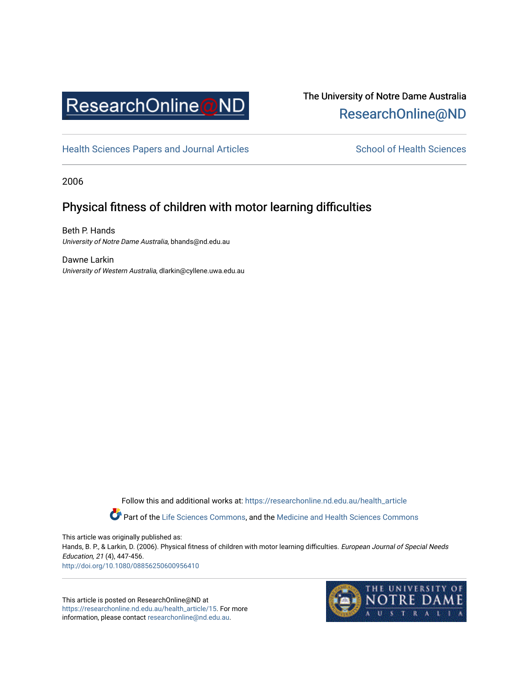

# The University of Notre Dame Australia [ResearchOnline@ND](https://researchonline.nd.edu.au/)

[Health Sciences Papers and Journal Articles](https://researchonline.nd.edu.au/health_article) School of Health Sciences

2006

# Physical fitness of children with motor learning difficulties

Beth P. Hands University of Notre Dame Australia, bhands@nd.edu.au

Dawne Larkin University of Western Australia, dlarkin@cyllene.uwa.edu.au

> Follow this and additional works at: [https://researchonline.nd.edu.au/health\\_article](https://researchonline.nd.edu.au/health_article?utm_source=researchonline.nd.edu.au%2Fhealth_article%2F15&utm_medium=PDF&utm_campaign=PDFCoverPages) Part of the [Life Sciences Commons](http://network.bepress.com/hgg/discipline/1016?utm_source=researchonline.nd.edu.au%2Fhealth_article%2F15&utm_medium=PDF&utm_campaign=PDFCoverPages), and the Medicine and Health Sciences Commons

This article was originally published as: Hands, B. P., & Larkin, D. (2006). Physical fitness of children with motor learning difficulties. European Journal of Special Needs Education, 21 (4), 447-456. <http://doi.org/10.1080/08856250600956410>

This article is posted on ResearchOnline@ND at [https://researchonline.nd.edu.au/health\\_article/15.](https://researchonline.nd.edu.au/health_article/15) For more information, please contact [researchonline@nd.edu.au.](mailto:researchonline@nd.edu.au)

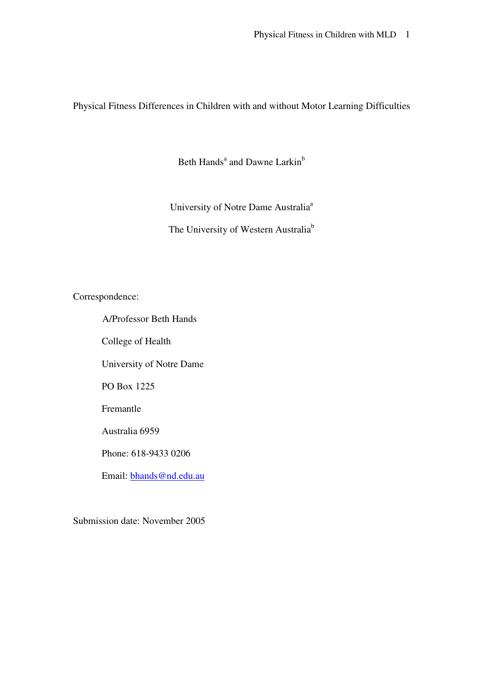Physical Fitness Differences in Children with and without Motor Learning Difficulties

Beth Hands<sup>a</sup> and Dawne Larkin<sup>b</sup>

University of Notre Dame Australia<sup>a</sup> The University of Western Australia<sup>b</sup>

Correspondence:

A/Professor Beth Hands

College of Health

University of Notre Dame

PO Box 1225

Fremantle

Australia 6959

Phone: 618-9433 0206

Email: bhands@nd.edu.au

Submission date: November 2005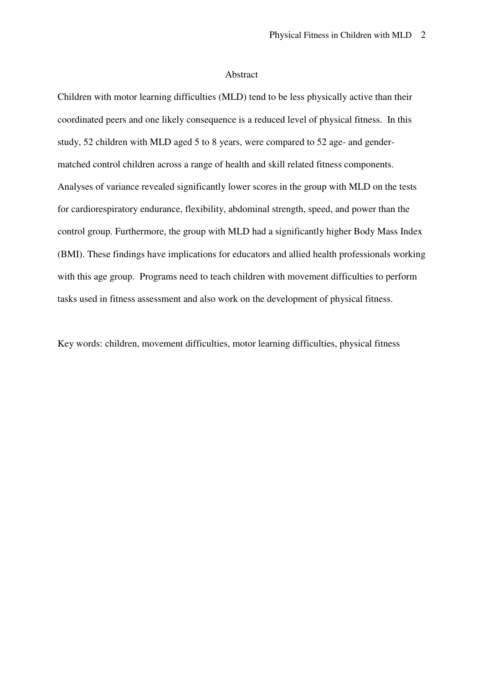#### Abstract

Children with motor learning difficulties (MLD) tend to be less physically active than their coordinated peers and one likely consequence is a reduced level of physical fitness. In this study, 52 children with MLD aged 5 to 8 years, were compared to 52 age- and gendermatched control children across a range of health and skill related fitness components. Analyses of variance revealed significantly lower scores in the group with MLD on the tests for cardiorespiratory endurance, flexibility, abdominal strength, speed, and power than the control group. Furthermore, the group with MLD had a significantly higher Body Mass Index (BMI). These findings have implications for educators and allied health professionals working with this age group. Programs need to teach children with movement difficulties to perform tasks used in fitness assessment and also work on the development of physical fitness.

Key words: children, movement difficulties, motor learning difficulties, physical fitness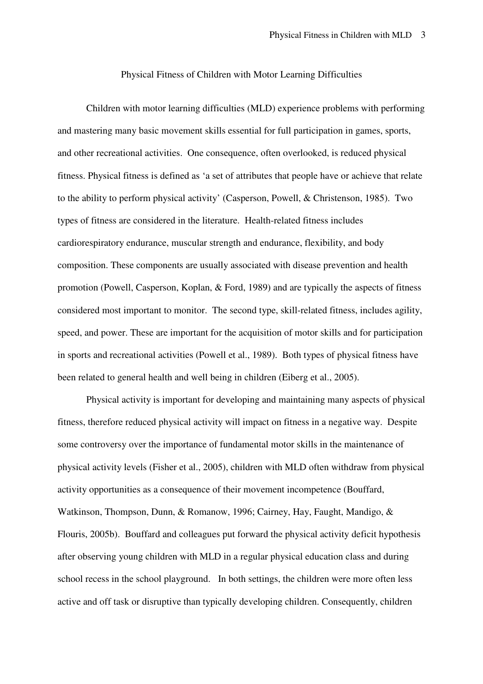#### Physical Fitness of Children with Motor Learning Difficulties

Children with motor learning difficulties (MLD) experience problems with performing and mastering many basic movement skills essential for full participation in games, sports, and other recreational activities. One consequence, often overlooked, is reduced physical fitness. Physical fitness is defined as 'a set of attributes that people have or achieve that relate to the ability to perform physical activity' (Casperson, Powell, & Christenson, 1985). Two types of fitness are considered in the literature. Health-related fitness includes cardiorespiratory endurance, muscular strength and endurance, flexibility, and body composition. These components are usually associated with disease prevention and health promotion (Powell, Casperson, Koplan, & Ford, 1989) and are typically the aspects of fitness considered most important to monitor. The second type, skill-related fitness, includes agility, speed, and power. These are important for the acquisition of motor skills and for participation in sports and recreational activities (Powell et al., 1989). Both types of physical fitness have been related to general health and well being in children (Eiberg et al., 2005).

Physical activity is important for developing and maintaining many aspects of physical fitness, therefore reduced physical activity will impact on fitness in a negative way. Despite some controversy over the importance of fundamental motor skills in the maintenance of physical activity levels (Fisher et al., 2005), children with MLD often withdraw from physical activity opportunities as a consequence of their movement incompetence (Bouffard, Watkinson, Thompson, Dunn, & Romanow, 1996; Cairney, Hay, Faught, Mandigo, & Flouris, 2005b). Bouffard and colleagues put forward the physical activity deficit hypothesis after observing young children with MLD in a regular physical education class and during school recess in the school playground. In both settings, the children were more often less active and off task or disruptive than typically developing children. Consequently, children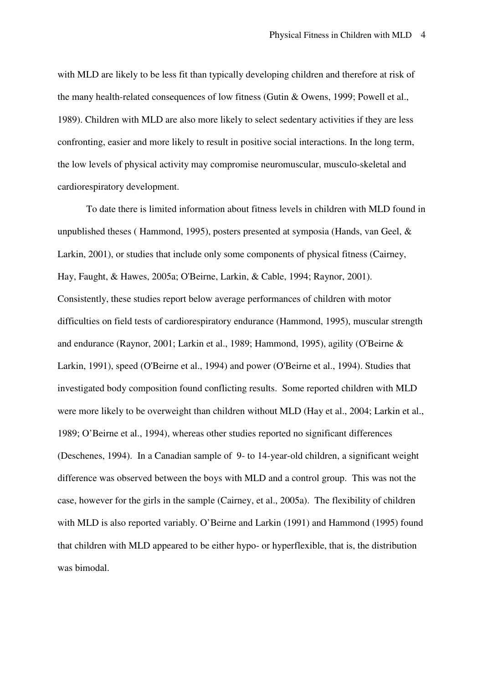with MLD are likely to be less fit than typically developing children and therefore at risk of the many health-related consequences of low fitness (Gutin & Owens, 1999; Powell et al., 1989). Children with MLD are also more likely to select sedentary activities if they are less confronting, easier and more likely to result in positive social interactions. In the long term, the low levels of physical activity may compromise neuromuscular, musculo-skeletal and cardiorespiratory development.

To date there is limited information about fitness levels in children with MLD found in unpublished theses ( Hammond, 1995), posters presented at symposia (Hands, van Geel, & Larkin, 2001), or studies that include only some components of physical fitness (Cairney, Hay, Faught, & Hawes, 2005a; O'Beirne, Larkin, & Cable, 1994; Raynor, 2001). Consistently, these studies report below average performances of children with motor difficulties on field tests of cardiorespiratory endurance (Hammond, 1995), muscular strength and endurance (Raynor, 2001; Larkin et al., 1989; Hammond, 1995), agility (O'Beirne & Larkin, 1991), speed (O'Beirne et al., 1994) and power (O'Beirne et al., 1994). Studies that investigated body composition found conflicting results. Some reported children with MLD were more likely to be overweight than children without MLD (Hay et al., 2004; Larkin et al., 1989; O'Beirne et al., 1994), whereas other studies reported no significant differences (Deschenes, 1994). In a Canadian sample of 9- to 14-year-old children, a significant weight difference was observed between the boys with MLD and a control group. This was not the case, however for the girls in the sample (Cairney, et al., 2005a). The flexibility of children with MLD is also reported variably. O'Beirne and Larkin (1991) and Hammond (1995) found that children with MLD appeared to be either hypo- or hyperflexible, that is, the distribution was bimodal.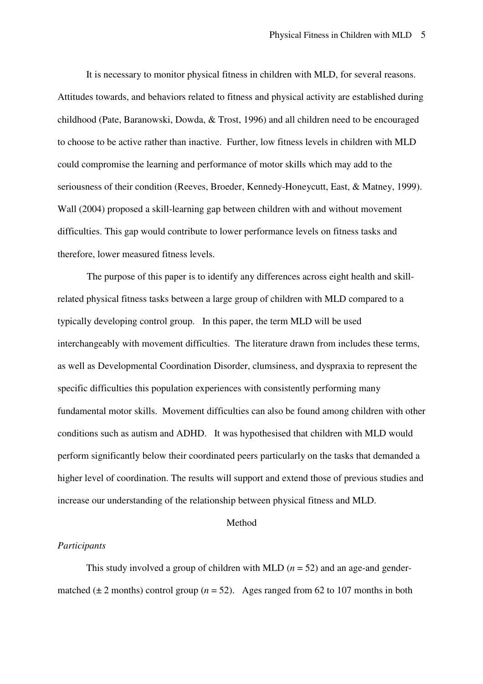It is necessary to monitor physical fitness in children with MLD, for several reasons. Attitudes towards, and behaviors related to fitness and physical activity are established during childhood (Pate, Baranowski, Dowda, & Trost, 1996) and all children need to be encouraged to choose to be active rather than inactive. Further, low fitness levels in children with MLD could compromise the learning and performance of motor skills which may add to the seriousness of their condition (Reeves, Broeder, Kennedy-Honeycutt, East, & Matney, 1999). Wall (2004) proposed a skill-learning gap between children with and without movement difficulties. This gap would contribute to lower performance levels on fitness tasks and therefore, lower measured fitness levels.

The purpose of this paper is to identify any differences across eight health and skillrelated physical fitness tasks between a large group of children with MLD compared to a typically developing control group. In this paper, the term MLD will be used interchangeably with movement difficulties. The literature drawn from includes these terms, as well as Developmental Coordination Disorder, clumsiness, and dyspraxia to represent the specific difficulties this population experiences with consistently performing many fundamental motor skills. Movement difficulties can also be found among children with other conditions such as autism and ADHD. It was hypothesised that children with MLD would perform significantly below their coordinated peers particularly on the tasks that demanded a higher level of coordination. The results will support and extend those of previous studies and increase our understanding of the relationship between physical fitness and MLD.

#### Method

### *Participants*

This study involved a group of children with MLD (*n* = 52) and an age-and gendermatched  $(\pm 2 \text{ months})$  control group  $(n = 52)$ . Ages ranged from 62 to 107 months in both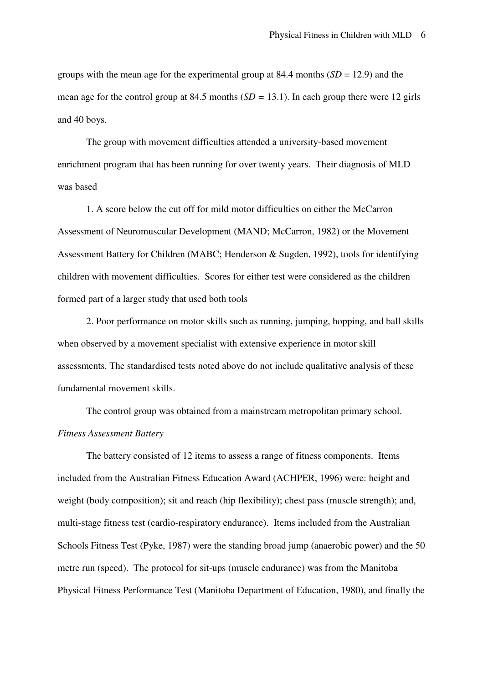groups with the mean age for the experimental group at 84.4 months  $(SD = 12.9)$  and the mean age for the control group at 84.5 months (*SD =* 13.1). In each group there were 12 girls and 40 boys.

The group with movement difficulties attended a university-based movement enrichment program that has been running for over twenty years. Their diagnosis of MLD was based

1. A score below the cut off for mild motor difficulties on either the McCarron Assessment of Neuromuscular Development (MAND; McCarron, 1982) or the Movement Assessment Battery for Children (MABC; Henderson & Sugden, 1992), tools for identifying children with movement difficulties. Scores for either test were considered as the children formed part of a larger study that used both tools

2. Poor performance on motor skills such as running, jumping, hopping, and ball skills when observed by a movement specialist with extensive experience in motor skill assessments. The standardised tests noted above do not include qualitative analysis of these fundamental movement skills.

The control group was obtained from a mainstream metropolitan primary school. *Fitness Assessment Battery* 

The battery consisted of 12 items to assess a range of fitness components. Items included from the Australian Fitness Education Award (ACHPER, 1996) were: height and weight (body composition); sit and reach (hip flexibility); chest pass (muscle strength); and, multi-stage fitness test (cardio-respiratory endurance). Items included from the Australian Schools Fitness Test (Pyke, 1987) were the standing broad jump (anaerobic power) and the 50 metre run (speed). The protocol for sit-ups (muscle endurance) was from the Manitoba Physical Fitness Performance Test (Manitoba Department of Education, 1980), and finally the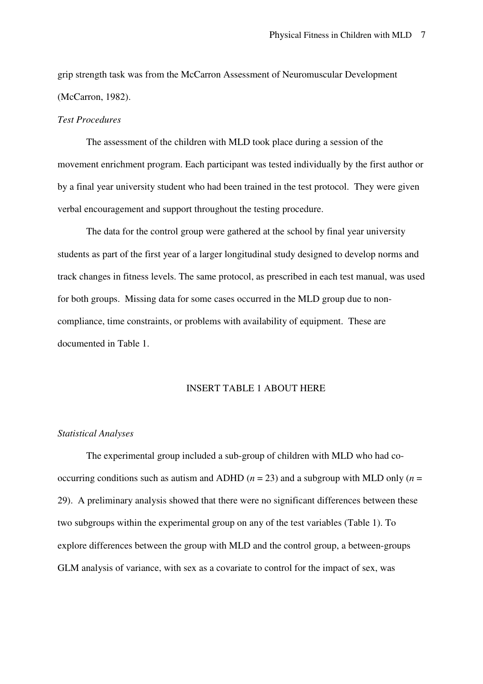grip strength task was from the McCarron Assessment of Neuromuscular Development (McCarron, 1982).

#### *Test Procedures*

The assessment of the children with MLD took place during a session of the movement enrichment program. Each participant was tested individually by the first author or by a final year university student who had been trained in the test protocol. They were given verbal encouragement and support throughout the testing procedure.

The data for the control group were gathered at the school by final year university students as part of the first year of a larger longitudinal study designed to develop norms and track changes in fitness levels. The same protocol, as prescribed in each test manual, was used for both groups. Missing data for some cases occurred in the MLD group due to noncompliance, time constraints, or problems with availability of equipment. These are documented in Table 1.

### INSERT TABLE 1 ABOUT HERE

#### *Statistical Analyses*

The experimental group included a sub-group of children with MLD who had cooccurring conditions such as autism and ADHD ( $n = 23$ ) and a subgroup with MLD only ( $n =$ 29). A preliminary analysis showed that there were no significant differences between these two subgroups within the experimental group on any of the test variables (Table 1). To explore differences between the group with MLD and the control group, a between-groups GLM analysis of variance, with sex as a covariate to control for the impact of sex, was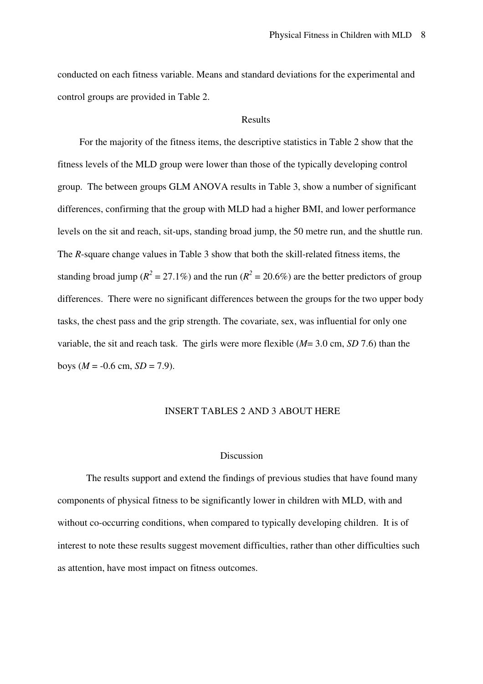conducted on each fitness variable. Means and standard deviations for the experimental and control groups are provided in Table 2.

#### Results

For the majority of the fitness items, the descriptive statistics in Table 2 show that the fitness levels of the MLD group were lower than those of the typically developing control group. The between groups GLM ANOVA results in Table 3, show a number of significant differences, confirming that the group with MLD had a higher BMI, and lower performance levels on the sit and reach, sit-ups, standing broad jump, the 50 metre run, and the shuttle run. The *R*-square change values in Table 3 show that both the skill-related fitness items, the standing broad jump ( $R^2 = 27.1\%$ ) and the run ( $R^2 = 20.6\%$ ) are the better predictors of group differences. There were no significant differences between the groups for the two upper body tasks, the chest pass and the grip strength. The covariate, sex, was influential for only one variable, the sit and reach task. The girls were more flexible (*M*= 3.0 cm, *SD* 7.6) than the boys ( $M = -0.6$  cm,  $SD = 7.9$ ).

#### INSERT TABLES 2 AND 3 ABOUT HERE

#### Discussion

The results support and extend the findings of previous studies that have found many components of physical fitness to be significantly lower in children with MLD, with and without co-occurring conditions, when compared to typically developing children. It is of interest to note these results suggest movement difficulties, rather than other difficulties such as attention, have most impact on fitness outcomes.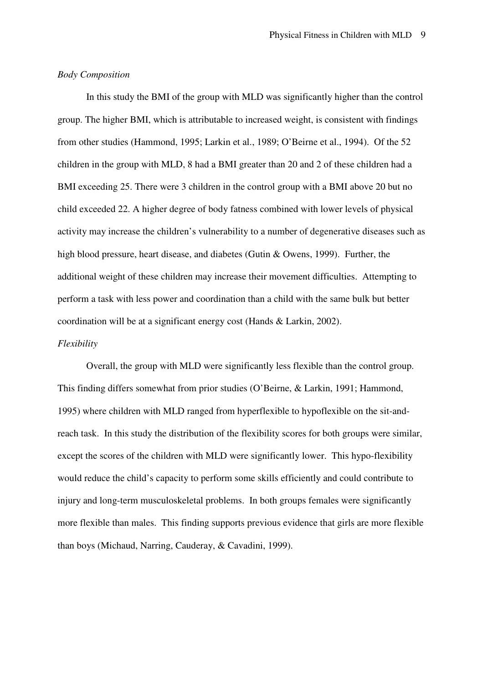#### *Body Composition*

In this study the BMI of the group with MLD was significantly higher than the control group. The higher BMI, which is attributable to increased weight, is consistent with findings from other studies (Hammond, 1995; Larkin et al., 1989; O'Beirne et al., 1994). Of the 52 children in the group with MLD, 8 had a BMI greater than 20 and 2 of these children had a BMI exceeding 25. There were 3 children in the control group with a BMI above 20 but no child exceeded 22. A higher degree of body fatness combined with lower levels of physical activity may increase the children's vulnerability to a number of degenerative diseases such as high blood pressure, heart disease, and diabetes (Gutin & Owens, 1999). Further, the additional weight of these children may increase their movement difficulties. Attempting to perform a task with less power and coordination than a child with the same bulk but better coordination will be at a significant energy cost (Hands & Larkin, 2002).

#### *Flexibility*

Overall, the group with MLD were significantly less flexible than the control group. This finding differs somewhat from prior studies (O'Beirne, & Larkin, 1991; Hammond, 1995) where children with MLD ranged from hyperflexible to hypoflexible on the sit-andreach task. In this study the distribution of the flexibility scores for both groups were similar, except the scores of the children with MLD were significantly lower. This hypo-flexibility would reduce the child's capacity to perform some skills efficiently and could contribute to injury and long-term musculoskeletal problems. In both groups females were significantly more flexible than males. This finding supports previous evidence that girls are more flexible than boys (Michaud, Narring, Cauderay, & Cavadini, 1999).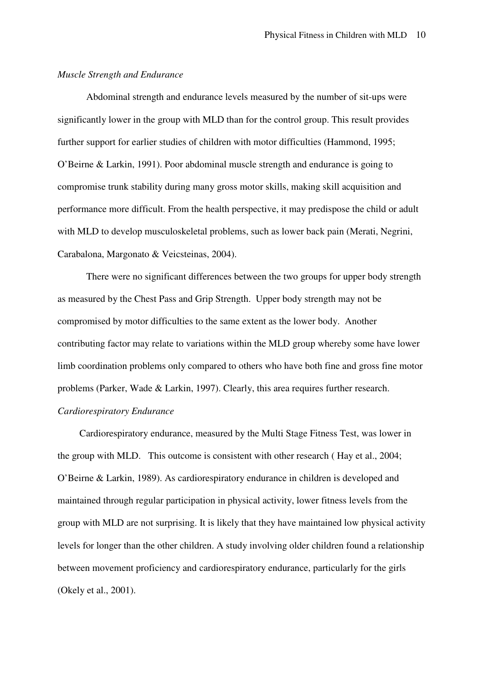#### *Muscle Strength and Endurance*

Abdominal strength and endurance levels measured by the number of sit-ups were significantly lower in the group with MLD than for the control group. This result provides further support for earlier studies of children with motor difficulties (Hammond, 1995; O'Beirne & Larkin, 1991). Poor abdominal muscle strength and endurance is going to compromise trunk stability during many gross motor skills, making skill acquisition and performance more difficult. From the health perspective, it may predispose the child or adult with MLD to develop musculoskeletal problems, such as lower back pain (Merati, Negrini, Carabalona, Margonato & Veicsteinas, 2004).

There were no significant differences between the two groups for upper body strength as measured by the Chest Pass and Grip Strength. Upper body strength may not be compromised by motor difficulties to the same extent as the lower body. Another contributing factor may relate to variations within the MLD group whereby some have lower limb coordination problems only compared to others who have both fine and gross fine motor problems (Parker, Wade & Larkin, 1997). Clearly, this area requires further research. *Cardiorespiratory Endurance* 

Cardiorespiratory endurance, measured by the Multi Stage Fitness Test, was lower in the group with MLD. This outcome is consistent with other research ( Hay et al., 2004; O'Beirne & Larkin, 1989). As cardiorespiratory endurance in children is developed and maintained through regular participation in physical activity, lower fitness levels from the group with MLD are not surprising. It is likely that they have maintained low physical activity levels for longer than the other children. A study involving older children found a relationship between movement proficiency and cardiorespiratory endurance, particularly for the girls (Okely et al., 2001).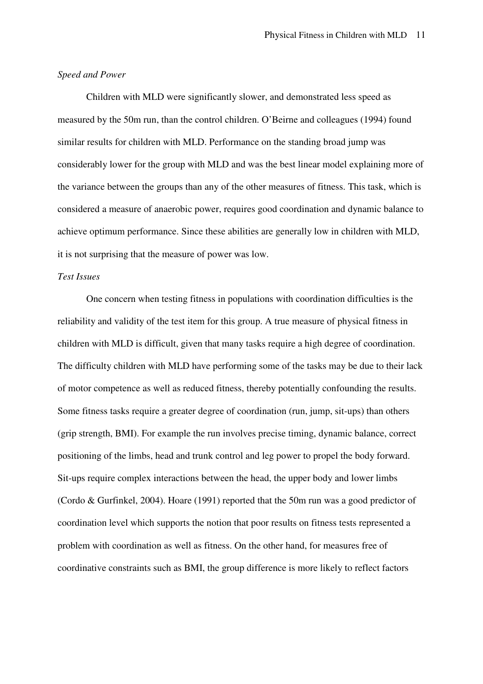#### *Speed and Power*

Children with MLD were significantly slower, and demonstrated less speed as measured by the 50m run, than the control children. O'Beirne and colleagues (1994) found similar results for children with MLD. Performance on the standing broad jump was considerably lower for the group with MLD and was the best linear model explaining more of the variance between the groups than any of the other measures of fitness. This task, which is considered a measure of anaerobic power, requires good coordination and dynamic balance to achieve optimum performance. Since these abilities are generally low in children with MLD, it is not surprising that the measure of power was low.

#### *Test Issues*

One concern when testing fitness in populations with coordination difficulties is the reliability and validity of the test item for this group. A true measure of physical fitness in children with MLD is difficult, given that many tasks require a high degree of coordination. The difficulty children with MLD have performing some of the tasks may be due to their lack of motor competence as well as reduced fitness, thereby potentially confounding the results. Some fitness tasks require a greater degree of coordination (run, jump, sit-ups) than others (grip strength, BMI). For example the run involves precise timing, dynamic balance, correct positioning of the limbs, head and trunk control and leg power to propel the body forward. Sit-ups require complex interactions between the head, the upper body and lower limbs (Cordo & Gurfinkel, 2004). Hoare (1991) reported that the 50m run was a good predictor of coordination level which supports the notion that poor results on fitness tests represented a problem with coordination as well as fitness. On the other hand, for measures free of coordinative constraints such as BMI, the group difference is more likely to reflect factors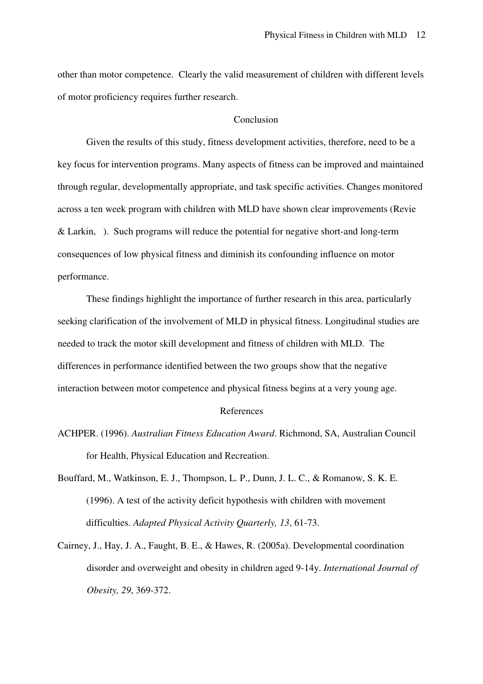other than motor competence. Clearly the valid measurement of children with different levels of motor proficiency requires further research.

#### Conclusion

Given the results of this study, fitness development activities, therefore, need to be a key focus for intervention programs. Many aspects of fitness can be improved and maintained through regular, developmentally appropriate, and task specific activities. Changes monitored across a ten week program with children with MLD have shown clear improvements (Revie & Larkin, ). Such programs will reduce the potential for negative short-and long-term consequences of low physical fitness and diminish its confounding influence on motor performance.

These findings highlight the importance of further research in this area, particularly seeking clarification of the involvement of MLD in physical fitness. Longitudinal studies are needed to track the motor skill development and fitness of children with MLD. The differences in performance identified between the two groups show that the negative interaction between motor competence and physical fitness begins at a very young age.

#### References

- ACHPER. (1996). *Australian Fitness Education Award*. Richmond, SA, Australian Council for Health, Physical Education and Recreation.
- Bouffard, M., Watkinson, E. J., Thompson, L. P., Dunn, J. L. C., & Romanow, S. K. E. (1996). A test of the activity deficit hypothesis with children with movement difficulties. *Adapted Physical Activity Quarterly, 13*, 61-73.
- Cairney, J., Hay, J. A., Faught, B. E., & Hawes, R. (2005a). Developmental coordination disorder and overweight and obesity in children aged 9-14y. *International Journal of Obesity, 29*, 369-372.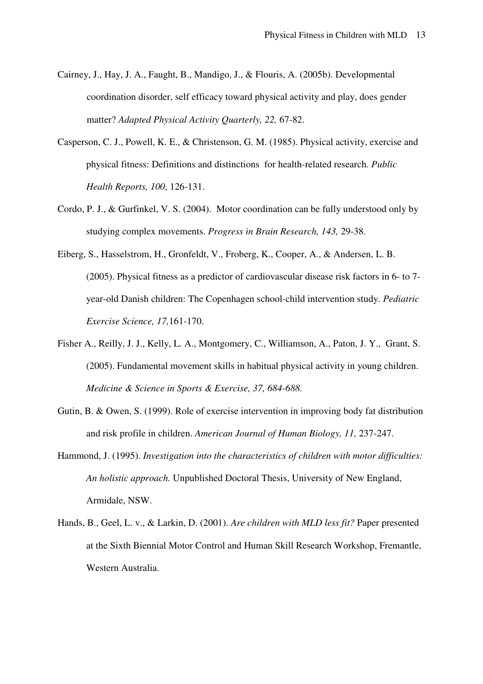- Cairney, J., Hay, J. A., Faught, B., Mandigo, J., & Flouris, A. (2005b). Developmental coordination disorder, self efficacy toward physical activity and play, does gender matter? *Adapted Physical Activity Quarterly, 22,* 67-82.
- Casperson, C. J., Powell, K. E., & Christenson, G. M. (1985). Physical activity, exercise and physical fitness: Definitions and distinctions for health-related research. *Public Health Reports, 100*, 126-131.
- Cordo, P. J., & Gurfinkel, V. S. (2004). Motor coordination can be fully understood only by studying complex movements. *Progress in Brain Research, 143,* 29-38.
- Eiberg, S., Hasselstrom, H., Gronfeldt, V., Froberg, K., Cooper, A., & Andersen, L. B. (2005). Physical fitness as a predictor of cardiovascular disease risk factors in 6- to 7 year-old Danish children: The Copenhagen school-child intervention study. *Pediatric Exercise Science, 17,*161-170.
- Fisher A., Reilly, J. J., Kelly, L. A., Montgomery, C., Williamson, A., Paton, J. Y., Grant, S. (2005). Fundamental movement skills in habitual physical activity in young children. *Medicine & Science in Sports & Exercise, 37, 684-688.*
- Gutin, B. & Owen, S. (1999). Role of exercise intervention in improving body fat distribution and risk profile in children. *American Journal of Human Biology, 11,* 237-247.
- Hammond, J. (1995). *Investigation into the characteristics of children with motor difficulties: An holistic approach.* Unpublished Doctoral Thesis, University of New England, Armidale, NSW.
- Hands, B., Geel, L. v., & Larkin, D. (2001). *Are children with MLD less fit?* Paper presented at the Sixth Biennial Motor Control and Human Skill Research Workshop, Fremantle, Western Australia.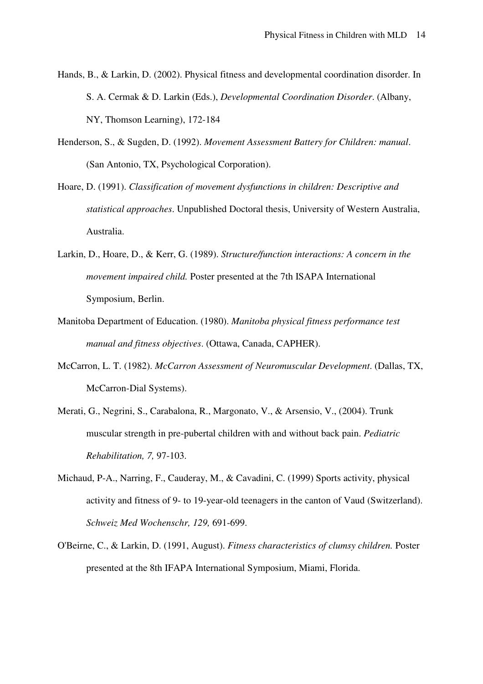- Hands, B., & Larkin, D. (2002). Physical fitness and developmental coordination disorder. In S. A. Cermak & D. Larkin (Eds.), *Developmental Coordination Disorder*. (Albany, NY, Thomson Learning), 172-184
- Henderson, S., & Sugden, D. (1992). *Movement Assessment Battery for Children: manual*. (San Antonio, TX, Psychological Corporation).
- Hoare, D. (1991). *Classification of movement dysfunctions in children: Descriptive and statistical approaches*. Unpublished Doctoral thesis, University of Western Australia, Australia.
- Larkin, D., Hoare, D., & Kerr, G. (1989). *Structure/function interactions: A concern in the movement impaired child.* Poster presented at the 7th ISAPA International Symposium, Berlin.
- Manitoba Department of Education. (1980). *Manitoba physical fitness performance test manual and fitness objectives*. (Ottawa, Canada, CAPHER).
- McCarron, L. T. (1982). *McCarron Assessment of Neuromuscular Development*. (Dallas, TX, McCarron-Dial Systems).
- Merati, G., Negrini, S., Carabalona, R., Margonato, V., & Arsensio, V., (2004). Trunk muscular strength in pre-pubertal children with and without back pain. *Pediatric Rehabilitation, 7,* 97-103.
- Michaud, P-A., Narring, F., Cauderay, M., & Cavadini, C. (1999) Sports activity, physical activity and fitness of 9- to 19-year-old teenagers in the canton of Vaud (Switzerland). *Schweiz Med Wochenschr, 129,* 691-699.
- O'Beirne, C., & Larkin, D. (1991, August). *Fitness characteristics of clumsy children.* Poster presented at the 8th IFAPA International Symposium, Miami, Florida.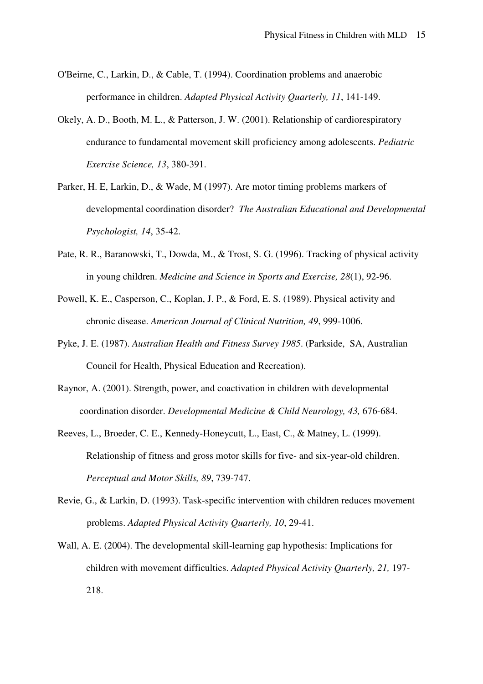- O'Beirne, C., Larkin, D., & Cable, T. (1994). Coordination problems and anaerobic performance in children. *Adapted Physical Activity Quarterly, 11*, 141-149.
- Okely, A. D., Booth, M. L., & Patterson, J. W. (2001). Relationship of cardiorespiratory endurance to fundamental movement skill proficiency among adolescents. *Pediatric Exercise Science, 13*, 380-391.
- Parker, H. E, Larkin, D., & Wade, M (1997). Are motor timing problems markers of developmental coordination disorder? *The Australian Educational and Developmental Psychologist, 14*, 35-42.
- Pate, R. R., Baranowski, T., Dowda, M., & Trost, S. G. (1996). Tracking of physical activity in young children. *Medicine and Science in Sports and Exercise, 28*(1), 92-96.
- Powell, K. E., Casperson, C., Koplan, J. P., & Ford, E. S. (1989). Physical activity and chronic disease. *American Journal of Clinical Nutrition, 49*, 999-1006.
- Pyke, J. E. (1987). *Australian Health and Fitness Survey 1985*. (Parkside, SA, Australian Council for Health, Physical Education and Recreation).
- Raynor, A. (2001). Strength, power, and coactivation in children with developmental coordination disorder. *Developmental Medicine & Child Neurology, 43,* 676-684.
- Reeves, L., Broeder, C. E., Kennedy-Honeycutt, L., East, C., & Matney, L. (1999). Relationship of fitness and gross motor skills for five- and six-year-old children. *Perceptual and Motor Skills, 89*, 739-747.
- Revie, G., & Larkin, D. (1993). Task-specific intervention with children reduces movement problems. *Adapted Physical Activity Quarterly, 10*, 29-41.
- Wall, A. E. (2004). The developmental skill-learning gap hypothesis: Implications for children with movement difficulties. *Adapted Physical Activity Quarterly, 21,* 197- 218.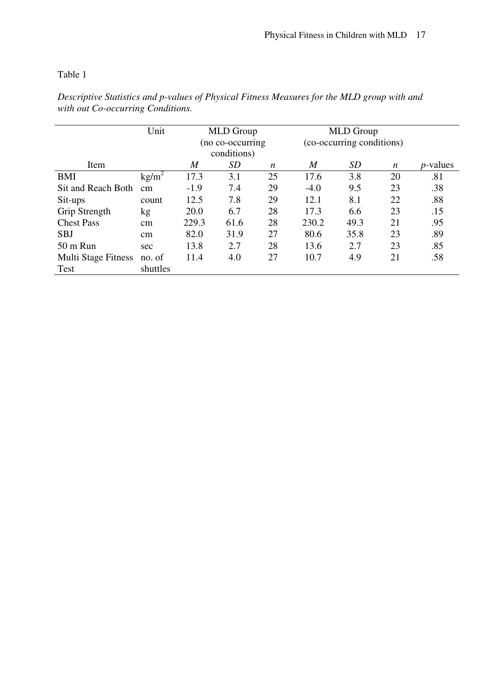## Table 1

|                            | Unit     | <b>MLD</b> Group |      | <b>MLD</b> Group          |                  |           |    |                  |
|----------------------------|----------|------------------|------|---------------------------|------------------|-----------|----|------------------|
|                            |          | (no co-occurring |      | (co-occurring conditions) |                  |           |    |                  |
|                            |          | conditions)      |      |                           |                  |           |    |                  |
| Item                       |          | M                | SD   | n                         | $\boldsymbol{M}$ | <i>SD</i> | n  | <i>p</i> -values |
| BMI                        | $kg/m^2$ | 17.3             | 3.1  | 25                        | 17.6             | 3.8       | 20 | .81              |
| Sit and Reach Both         | cm       | $-1.9$           | 7.4  | 29                        | $-4.0$           | 9.5       | 23 | .38              |
| Sit-ups                    | count    | 12.5             | 7.8  | 29                        | 12.1             | 8.1       | 22 | .88              |
| Grip Strength              | kg       | 20.0             | 6.7  | 28                        | 17.3             | 6.6       | 23 | .15              |
| <b>Chest Pass</b>          | cm       | 229.3            | 61.6 | 28                        | 230.2            | 49.3      | 21 | .95              |
| <b>SBJ</b>                 | cm       | 82.0             | 31.9 | 27                        | 80.6             | 35.8      | 23 | .89              |
| $50 \text{ m}$ Run         | sec      | 13.8             | 2.7  | 28                        | 13.6             | 2.7       | 23 | .85              |
| <b>Multi Stage Fitness</b> | no. of   | 11.4             | 4.0  | 27                        | 10.7             | 4.9       | 21 | .58              |
| Test                       | shuttles |                  |      |                           |                  |           |    |                  |
|                            |          |                  |      |                           |                  |           |    |                  |

*Descriptive Statistics and p-values of Physical Fitness Measures for the MLD group with and with out Co-occurring Conditions.*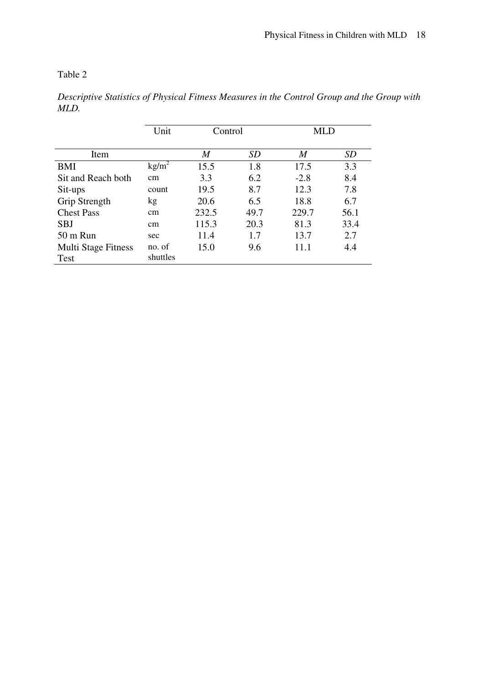Table 2

|                            | Unit              | Control          |      | MLD    |           |
|----------------------------|-------------------|------------------|------|--------|-----------|
| Item                       |                   | $\boldsymbol{M}$ | SD   | M      | <b>SD</b> |
| <b>BMI</b>                 | kg/m <sup>2</sup> | 15.5             | 1.8  | 17.5   | 3.3       |
| Sit and Reach both         | cm                | 3.3              | 6.2  | $-2.8$ | 8.4       |
| Sit-ups                    | count             | 19.5             | 8.7  | 12.3   | 7.8       |
| Grip Strength              | kg                | 20.6             | 6.5  | 18.8   | 6.7       |
| <b>Chest Pass</b>          | cm                | 232.5            | 49.7 | 229.7  | 56.1      |
| <b>SBJ</b>                 | cm                | 115.3            | 20.3 | 81.3   | 33.4      |
| 50 m Run                   | sec               | 11.4             | 1.7  | 13.7   | 2.7       |
| <b>Multi Stage Fitness</b> | no. of            | 15.0             | 9.6  | 11.1   | 4.4       |
| <b>Test</b>                | shuttles          |                  |      |        |           |

*Descriptive Statistics of Physical Fitness Measures in the Control Group and the Group with MLD.*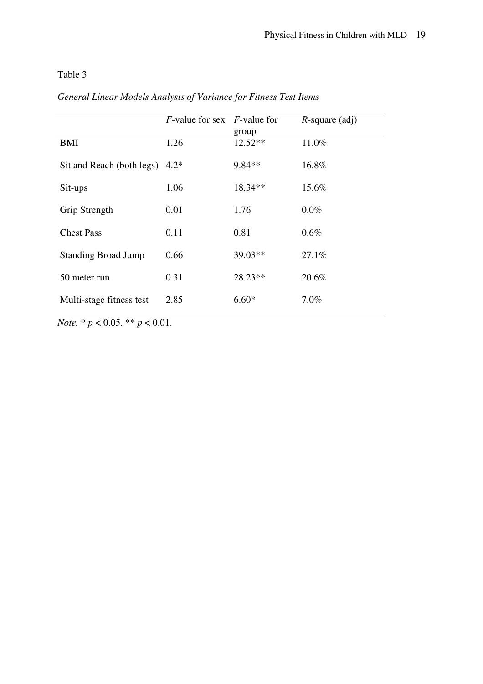## Table 3

|                                                    | $F$ -value for sex $F$ -value for |           | $R$ -square (adj) |
|----------------------------------------------------|-----------------------------------|-----------|-------------------|
|                                                    |                                   | group     |                   |
| BMI                                                | 1.26                              | $12.52**$ | 11.0%             |
| Sit and Reach (both legs)                          | $4.2*$                            | 9.84**    | 16.8%             |
|                                                    |                                   |           |                   |
| Sit-ups                                            | 1.06                              | 18.34**   | 15.6%             |
|                                                    |                                   |           |                   |
| Grip Strength                                      | 0.01                              | 1.76      | $0.0\%$           |
| <b>Chest Pass</b>                                  | 0.11                              | 0.81      | 0.6%              |
|                                                    |                                   |           |                   |
| <b>Standing Broad Jump</b>                         | 0.66                              | $39.03**$ | 27.1%             |
|                                                    |                                   |           |                   |
| 50 meter run                                       | 0.31                              | $28.23**$ | 20.6%             |
|                                                    |                                   |           |                   |
| Multi-stage fitness test                           | 2.85                              | $6.60*$   | 7.0%              |
| $N_{\alpha t\rho} * n \times 0.05 * n \times 0.01$ |                                   |           |                   |

# *General Linear Models Analysis of Variance for Fitness Test Items*

*Note.* \* *p* < 0.05. \*\* *p* < 0.01.